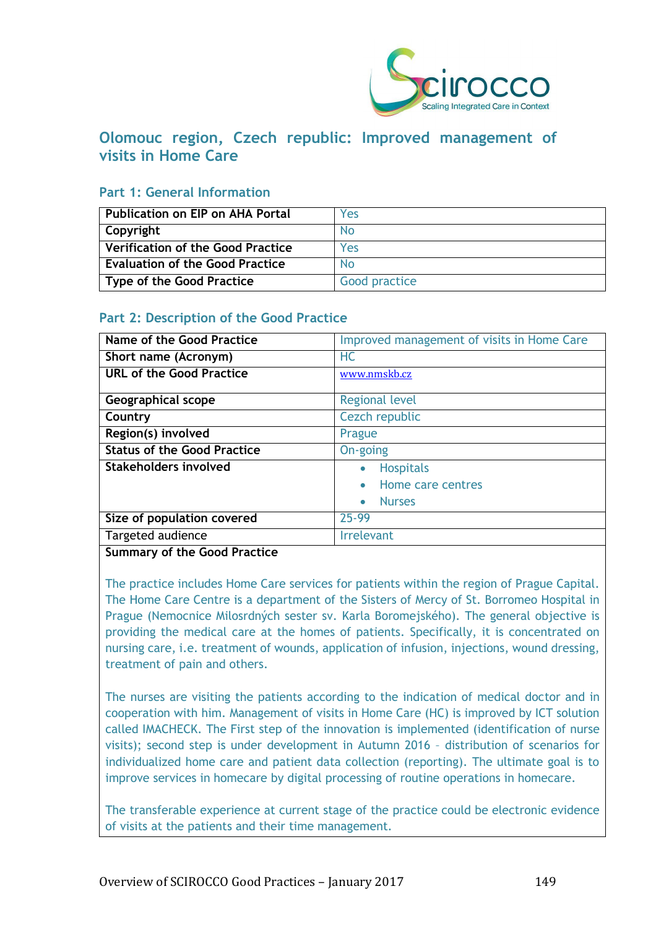

# **Olomouc region, Czech republic: Improved management of visits in Home Care**

### **Part 1: General Information**

| <b>Publication on EIP on AHA Portal</b>  | Yes            |
|------------------------------------------|----------------|
| Copyright                                | No.            |
| <b>Verification of the Good Practice</b> | Yes            |
| <b>Evaluation of the Good Practice</b>   | N <sub>0</sub> |
| <b>Type of the Good Practice</b>         | Good practice  |

# **Part 2: Description of the Good Practice**

| Name of the Good Practice                                                              | Improved management of visits in Home Care |
|----------------------------------------------------------------------------------------|--------------------------------------------|
| Short name (Acronym)                                                                   | <b>HC</b>                                  |
| <b>URL of the Good Practice</b>                                                        | www.nmskb.cz                               |
| <b>Geographical scope</b>                                                              | <b>Regional level</b>                      |
| Country                                                                                | Cezch republic                             |
| Region(s) involved                                                                     | Prague                                     |
| <b>Status of the Good Practice</b>                                                     | On-going                                   |
| <b>Stakeholders involved</b>                                                           | <b>Hospitals</b><br>$\bullet$              |
|                                                                                        | Home care centres                          |
|                                                                                        | <b>Nurses</b><br>$\bullet$                 |
| Size of population covered                                                             | 25-99                                      |
| Targeted audience                                                                      | <b>Irrelevant</b>                          |
| $\overline{\phantom{a}}$<br>$\sim$ $\sim$ $\sim$<br>$\sim$<br>$\overline{\phantom{a}}$ |                                            |

**Summary of the Good Practice**

The practice includes Home Care services for patients within the region of Prague Capital. The Home Care Centre is a department of the Sisters of Mercy of St. Borromeo Hospital in Prague (Nemocnice Milosrdných sester sv. Karla Boromejského). The general objective is providing the medical care at the homes of patients. Specifically, it is concentrated on nursing care, i.e. treatment of wounds, application of infusion, injections, wound dressing, treatment of pain and others.

The nurses are visiting the patients according to the indication of medical doctor and in cooperation with him. Management of visits in Home Care (HC) is improved by ICT solution called IMACHECK. The First step of the innovation is implemented (identification of nurse visits); second step is under development in Autumn 2016 – distribution of scenarios for individualized home care and patient data collection (reporting). The ultimate goal is to improve services in homecare by digital processing of routine operations in homecare.

The transferable experience at current stage of the practice could be electronic evidence of visits at the patients and their time management.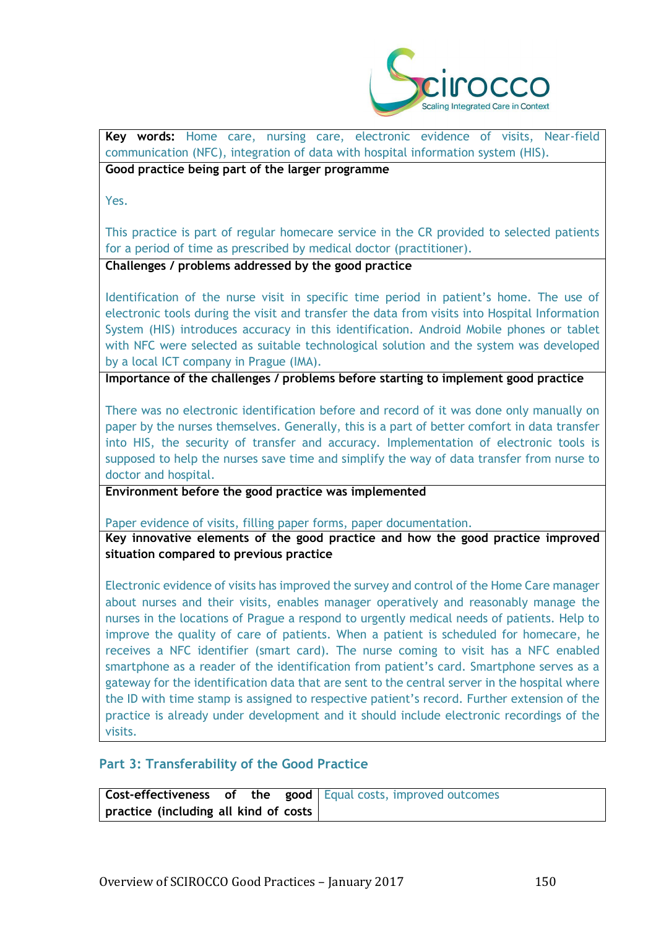

**Key words:** Home care, nursing care, electronic evidence of visits, Near-field communication (NFC), integration of data with hospital information system (HIS).

**Good practice being part of the larger programme**

Yes.

This practice is part of regular homecare service in the CR provided to selected patients for a period of time as prescribed by medical doctor (practitioner).

**Challenges / problems addressed by the good practice**

Identification of the nurse visit in specific time period in patient's home. The use of electronic tools during the visit and transfer the data from visits into Hospital Information System (HIS) introduces accuracy in this identification. Android Mobile phones or tablet with NFC were selected as suitable technological solution and the system was developed by a local ICT company in Prague (IMA).

**Importance of the challenges / problems before starting to implement good practice**

There was no electronic identification before and record of it was done only manually on paper by the nurses themselves. Generally, this is a part of better comfort in data transfer into HIS, the security of transfer and accuracy. Implementation of electronic tools is supposed to help the nurses save time and simplify the way of data transfer from nurse to doctor and hospital.

**Environment before the good practice was implemented** 

Paper evidence of visits, filling paper forms, paper documentation.

**Key innovative elements of the good practice and how the good practice improved situation compared to previous practice**

Electronic evidence of visits has improved the survey and control of the Home Care manager about nurses and their visits, enables manager operatively and reasonably manage the nurses in the locations of Prague a respond to urgently medical needs of patients. Help to improve the quality of care of patients. When a patient is scheduled for homecare, he receives a NFC identifier (smart card). The nurse coming to visit has a NFC enabled smartphone as a reader of the identification from patient's card. Smartphone serves as a gateway for the identification data that are sent to the central server in the hospital where the ID with time stamp is assigned to respective patient's record. Further extension of the practice is already under development and it should include electronic recordings of the visits.

#### **Part 3: Transferability of the Good Practice**

|                                       |  | <b>Cost-effectiveness of the good</b> Equal costs, improved outcomes |
|---------------------------------------|--|----------------------------------------------------------------------|
| practice (including all kind of costs |  |                                                                      |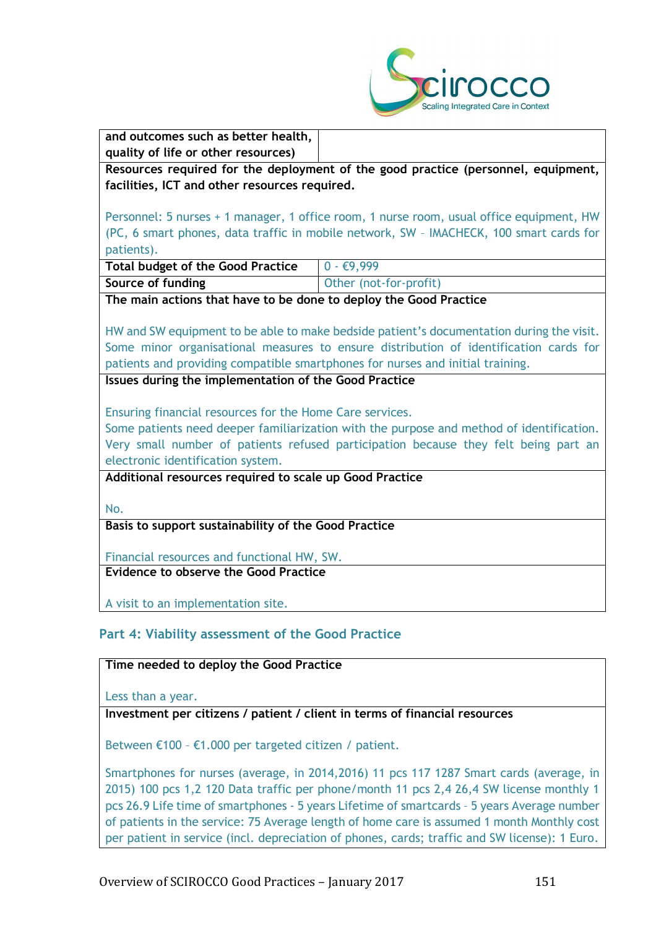

**and outcomes such as better health, quality of life or other resources)**

**Resources required for the deployment of the good practice (personnel, equipment, facilities, ICT and other resources required.**

Personnel: 5 nurses + 1 manager, 1 office room, 1 nurse room, usual office equipment, HW (PC, 6 smart phones, data traffic in mobile network, SW – IMACHECK, 100 smart cards for patients).

| Total budget of the Good Practice $\begin{array}{ c c } \hline 0 & -\in 9,999 \hline \end{array}$ |                        |
|---------------------------------------------------------------------------------------------------|------------------------|
| Source of funding                                                                                 | Other (not-for-profit) |

**The main actions that have to be done to deploy the Good Practice**

HW and SW equipment to be able to make bedside patient's documentation during the visit. Some minor organisational measures to ensure distribution of identification cards for patients and providing compatible smartphones for nurses and initial training.

**Issues during the implementation of the Good Practice**

Ensuring financial resources for the Home Care services.

Some patients need deeper familiarization with the purpose and method of identification. Very small number of patients refused participation because they felt being part an electronic identification system.

## **Additional resources required to scale up Good Practice**

No.

**Basis to support sustainability of the Good Practice**

Financial resources and functional HW, SW.

**Evidence to observe the Good Practice**

A visit to an implementation site.

# **Part 4: Viability assessment of the Good Practice**

#### **Time needed to deploy the Good Practice**

Less than a year.

#### **Investment per citizens / patient / client in terms of financial resources**

Between €100 – €1.000 per targeted citizen / patient.

Smartphones for nurses (average, in 2014,2016) 11 pcs 117 1287 Smart cards (average, in 2015) 100 pcs 1,2 120 Data traffic per phone/month 11 pcs 2,4 26,4 SW license monthly 1 pcs 26.9 Life time of smartphones - 5 years Lifetime of smartcards – 5 years Average number of patients in the service: 75 Average length of home care is assumed 1 month Monthly cost per patient in service (incl. depreciation of phones, cards; traffic and SW license): 1 Euro.